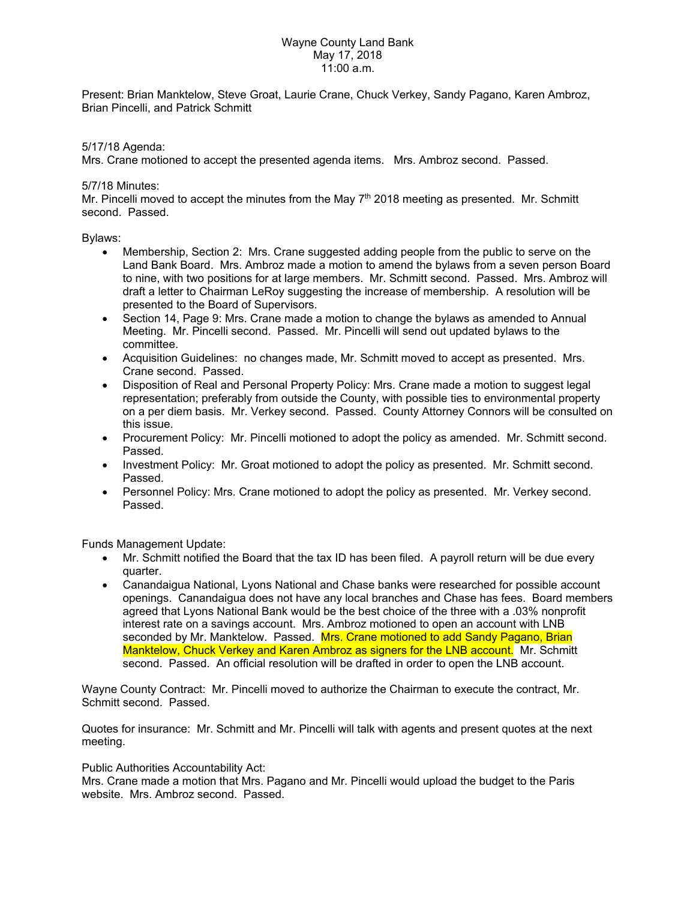## Wayne County Land Bank May 17, 2018 11:00 a.m.

Present: Brian Manktelow, Steve Groat, Laurie Crane, Chuck Verkey, Sandy Pagano, Karen Ambroz, Brian Pincelli, and Patrick Schmitt

# 5/17/18 Agenda:

Mrs. Crane motioned to accept the presented agenda items. Mrs. Ambroz second. Passed.

## 5/7/18 Minutes:

Mr. Pincelli moved to accept the minutes from the May  $7<sup>th</sup>$  2018 meeting as presented. Mr. Schmitt second. Passed.

# Bylaws:

- Membership, Section 2: Mrs. Crane suggested adding people from the public to serve on the Land Bank Board. Mrs. Ambroz made a motion to amend the bylaws from a seven person Board to nine, with two positions for at large members. Mr. Schmitt second. Passed. Mrs. Ambroz will draft a letter to Chairman LeRoy suggesting the increase of membership. A resolution will be presented to the Board of Supervisors.
- Section 14, Page 9: Mrs. Crane made a motion to change the bylaws as amended to Annual Meeting. Mr. Pincelli second. Passed. Mr. Pincelli will send out updated bylaws to the committee.
- Acquisition Guidelines: no changes made, Mr. Schmitt moved to accept as presented. Mrs. Crane second. Passed.
- Disposition of Real and Personal Property Policy: Mrs. Crane made a motion to suggest legal representation; preferably from outside the County, with possible ties to environmental property on a per diem basis. Mr. Verkey second. Passed. County Attorney Connors will be consulted on this issue.
- Procurement Policy: Mr. Pincelli motioned to adopt the policy as amended. Mr. Schmitt second. Passed.
- Investment Policy: Mr. Groat motioned to adopt the policy as presented. Mr. Schmitt second. Passed.
- Personnel Policy: Mrs. Crane motioned to adopt the policy as presented. Mr. Verkey second. Passed.

Funds Management Update:

- Mr. Schmitt notified the Board that the tax ID has been filed. A payroll return will be due every quarter.
- Canandaigua National, Lyons National and Chase banks were researched for possible account openings. Canandaigua does not have any local branches and Chase has fees. Board members agreed that Lyons National Bank would be the best choice of the three with a .03% nonprofit interest rate on a savings account. Mrs. Ambroz motioned to open an account with LNB seconded by Mr. Manktelow. Passed. Mrs. Crane motioned to add Sandy Pagano, Brian Manktelow, Chuck Verkey and Karen Ambroz as signers for the LNB account. Mr. Schmitt second. Passed. An official resolution will be drafted in order to open the LNB account.

Wayne County Contract: Mr. Pincelli moved to authorize the Chairman to execute the contract, Mr. Schmitt second. Passed.

Quotes for insurance: Mr. Schmitt and Mr. Pincelli will talk with agents and present quotes at the next meeting.

## Public Authorities Accountability Act:

Mrs. Crane made a motion that Mrs. Pagano and Mr. Pincelli would upload the budget to the Paris website. Mrs. Ambroz second. Passed.